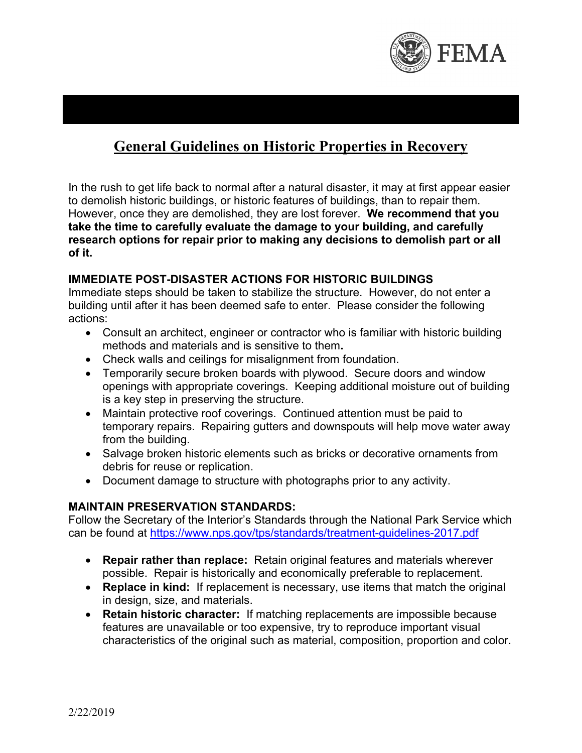

# **General Guidelines on Historic Properties in Recovery**

In the rush to get life back to normal after a natural disaster, it may at first appear easier to demolish historic buildings, or historic features of buildings, than to repair them. However, once they are demolished, they are lost forever. **We recommend that you take the time to carefully evaluate the damage to your building, and carefully research options for repair prior to making any decisions to demolish part or all of it.**

### **IMMEDIATE POST-DISASTER ACTIONS FOR HISTORIC BUILDINGS**

Immediate steps should be taken to stabilize the structure. However, do not enter a building until after it has been deemed safe to enter. Please consider the following actions:

- Consult an architect, engineer or contractor who is familiar with historic building methods and materials and is sensitive to them**.**
- Check walls and ceilings for misalignment from foundation.
- Temporarily secure broken boards with plywood. Secure doors and window openings with appropriate coverings. Keeping additional moisture out of building is a key step in preserving the structure.
- Maintain protective roof coverings. Continued attention must be paid to temporary repairs. Repairing gutters and downspouts will help move water away from the building.
- Salvage broken historic elements such as bricks or decorative ornaments from debris for reuse or replication.
- Document damage to structure with photographs prior to any activity.

# **MAINTAIN PRESERVATION STANDARDS:**

Follow the Secretary of the Interior's Standards through the National Park Service which can be found at https://www.nps.gov/tps/standards/treatment-guidelines-2017.pdf

- **Repair rather than replace:** Retain original features and materials wherever possible. Repair is historically and economically preferable to replacement.
- **Replace in kind:** If replacement is necessary, use items that match the original in design, size, and materials.
- **Retain historic character:** If matching replacements are impossible because features are unavailable or too expensive, try to reproduce important visual characteristics of the original such as material, composition, proportion and color.